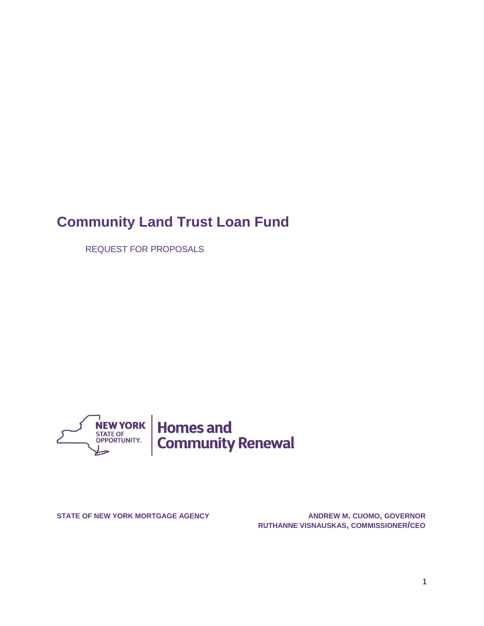# **Community Land Trust Loan Fund**

REQUEST FOR PROPOSALS



**STATE OF NEW YORK MORTGAGE AGENCY ANDREW M. CUOMO, GOVERNOR RUTHANNE VISNAUSKAS, COMMISSIONER/CEO**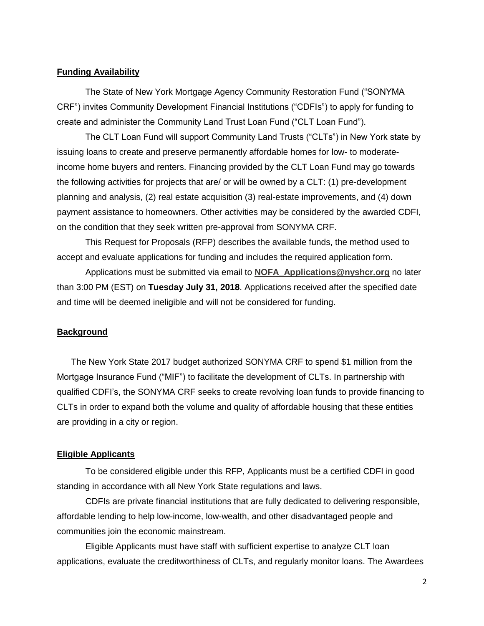#### **Funding Availability**

The State of New York Mortgage Agency Community Restoration Fund ("SONYMA CRF") invites Community Development Financial Institutions ("CDFIs") to apply for funding to create and administer the Community Land Trust Loan Fund ("CLT Loan Fund").

The CLT Loan Fund will support Community Land Trusts ("CLTs") in New York state by issuing loans to create and preserve permanently affordable homes for low- to moderateincome home buyers and renters. Financing provided by the CLT Loan Fund may go towards the following activities for projects that are/ or will be owned by a CLT: (1) pre-development planning and analysis, (2) real estate acquisition (3) real-estate improvements, and (4) down payment assistance to homeowners. Other activities may be considered by the awarded CDFI, on the condition that they seek written pre-approval from SONYMA CRF.

This Request for Proposals (RFP) describes the available funds, the method used to accept and evaluate applications for funding and includes the required application form.

Applications must be submitted via email to **[NOFA\\_Applications@nyshcr.org](mailto:NOFA_Applications@nyshcr.org)** no later than 3:00 PM (EST) on **Tuesday July 31, 2018**. Applications received after the specified date and time will be deemed ineligible and will not be considered for funding.

#### **Background**

The New York State 2017 budget authorized SONYMA CRF to spend \$1 million from the Mortgage Insurance Fund ("MIF") to facilitate the development of CLTs. In partnership with qualified CDFI's, the SONYMA CRF seeks to create revolving loan funds to provide financing to CLTs in order to expand both the volume and quality of affordable housing that these entities are providing in a city or region.

#### **Eligible Applicants**

To be considered eligible under this RFP, Applicants must be a certified CDFI in good standing in accordance with all New York State regulations and laws.

CDFIs are private financial institutions that are fully dedicated to delivering responsible, affordable lending to help low-income, low-wealth, and other disadvantaged people and communities join the economic mainstream.

Eligible Applicants must have staff with sufficient expertise to analyze CLT loan applications, evaluate the creditworthiness of CLTs, and regularly monitor loans. The Awardees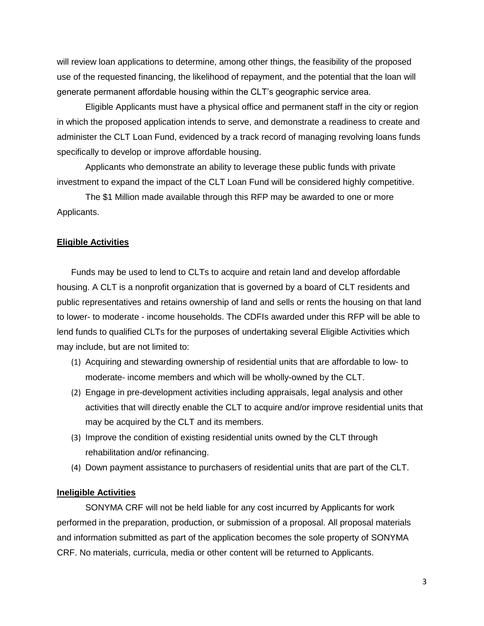will review loan applications to determine, among other things, the feasibility of the proposed use of the requested financing, the likelihood of repayment, and the potential that the loan will generate permanent affordable housing within the CLT's geographic service area.

Eligible Applicants must have a physical office and permanent staff in the city or region in which the proposed application intends to serve, and demonstrate a readiness to create and administer the CLT Loan Fund, evidenced by a track record of managing revolving loans funds specifically to develop or improve affordable housing.

Applicants who demonstrate an ability to leverage these public funds with private investment to expand the impact of the CLT Loan Fund will be considered highly competitive.

The \$1 Million made available through this RFP may be awarded to one or more Applicants.

#### **Eligible Activities**

Funds may be used to lend to CLTs to acquire and retain land and develop affordable housing. A CLT is a nonprofit organization that is governed by a board of CLT residents and public representatives and retains ownership of land and sells or rents the housing on that land to lower- to moderate - income households. The CDFIs awarded under this RFP will be able to lend funds to qualified CLTs for the purposes of undertaking several Eligible Activities which may include, but are not limited to:

- (1) Acquiring and stewarding ownership of residential units that are affordable to low- to moderate- income members and which will be wholly-owned by the CLT.
- (2) Engage in pre-development activities including appraisals, legal analysis and other activities that will directly enable the CLT to acquire and/or improve residential units that may be acquired by the CLT and its members.
- (3) Improve the condition of existing residential units owned by the CLT through rehabilitation and/or refinancing.
- (4) Down payment assistance to purchasers of residential units that are part of the CLT.

#### **Ineligible Activities**

SONYMA CRF will not be held liable for any cost incurred by Applicants for work performed in the preparation, production, or submission of a proposal. All proposal materials and information submitted as part of the application becomes the sole property of SONYMA CRF. No materials, curricula, media or other content will be returned to Applicants.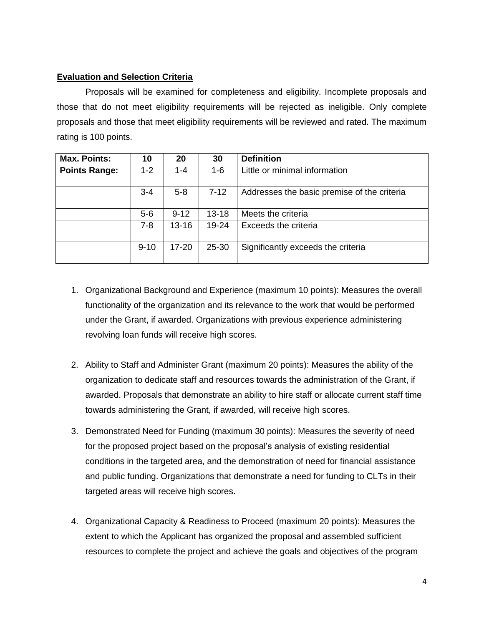## **Evaluation and Selection Criteria**

Proposals will be examined for completeness and eligibility. Incomplete proposals and those that do not meet eligibility requirements will be rejected as ineligible. Only complete proposals and those that meet eligibility requirements will be reviewed and rated. The maximum rating is 100 points.

| <b>Max. Points:</b>  | 10       | 20        | 30        | <b>Definition</b>                           |
|----------------------|----------|-----------|-----------|---------------------------------------------|
| <b>Points Range:</b> | $1 - 2$  | $1 - 4$   | $1 - 6$   | Little or minimal information               |
|                      | $3 - 4$  | $5 - 8$   | $7 - 12$  | Addresses the basic premise of the criteria |
|                      | $5-6$    | $9 - 12$  | $13 - 18$ | Meets the criteria                          |
|                      | $7 - 8$  | $13 - 16$ | 19-24     | Exceeds the criteria                        |
|                      | $9 - 10$ | $17 - 20$ | 25-30     | Significantly exceeds the criteria          |

- 1. Organizational Background and Experience (maximum 10 points): Measures the overall functionality of the organization and its relevance to the work that would be performed under the Grant, if awarded. Organizations with previous experience administering revolving loan funds will receive high scores.
- 2. Ability to Staff and Administer Grant (maximum 20 points): Measures the ability of the organization to dedicate staff and resources towards the administration of the Grant, if awarded. Proposals that demonstrate an ability to hire staff or allocate current staff time towards administering the Grant, if awarded, will receive high scores.
- 3. Demonstrated Need for Funding (maximum 30 points): Measures the severity of need for the proposed project based on the proposal's analysis of existing residential conditions in the targeted area, and the demonstration of need for financial assistance and public funding. Organizations that demonstrate a need for funding to CLTs in their targeted areas will receive high scores.
- 4. Organizational Capacity & Readiness to Proceed (maximum 20 points): Measures the extent to which the Applicant has organized the proposal and assembled sufficient resources to complete the project and achieve the goals and objectives of the program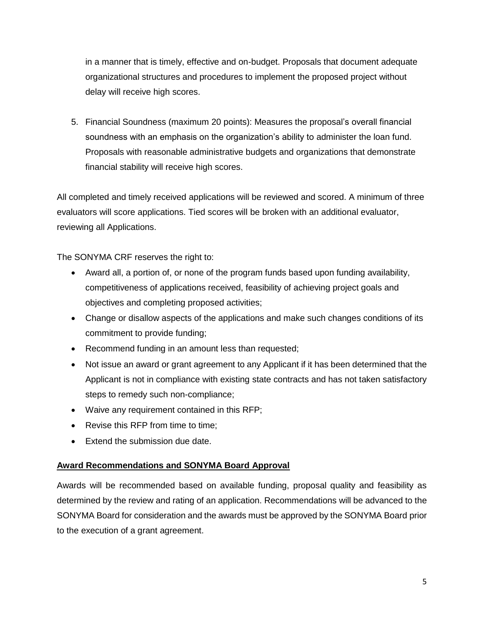in a manner that is timely, effective and on-budget. Proposals that document adequate organizational structures and procedures to implement the proposed project without delay will receive high scores.

5. Financial Soundness (maximum 20 points): Measures the proposal's overall financial soundness with an emphasis on the organization's ability to administer the loan fund. Proposals with reasonable administrative budgets and organizations that demonstrate financial stability will receive high scores.

All completed and timely received applications will be reviewed and scored. A minimum of three evaluators will score applications. Tied scores will be broken with an additional evaluator, reviewing all Applications.

The SONYMA CRF reserves the right to:

- Award all, a portion of, or none of the program funds based upon funding availability, competitiveness of applications received, feasibility of achieving project goals and objectives and completing proposed activities;
- Change or disallow aspects of the applications and make such changes conditions of its commitment to provide funding;
- Recommend funding in an amount less than requested;
- Not issue an award or grant agreement to any Applicant if it has been determined that the Applicant is not in compliance with existing state contracts and has not taken satisfactory steps to remedy such non-compliance;
- Waive any requirement contained in this RFP;
- Revise this RFP from time to time:
- **Extend the submission due date**

## **Award Recommendations and SONYMA Board Approval**

Awards will be recommended based on available funding, proposal quality and feasibility as determined by the review and rating of an application. Recommendations will be advanced to the SONYMA Board for consideration and the awards must be approved by the SONYMA Board prior to the execution of a grant agreement.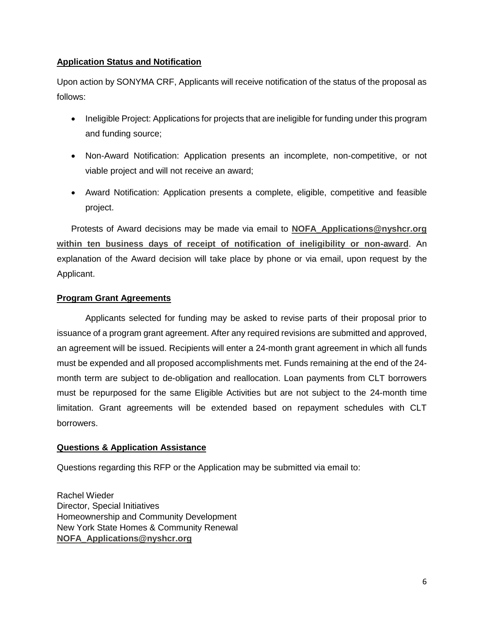## **Application Status and Notification**

Upon action by SONYMA CRF, Applicants will receive notification of the status of the proposal as follows:

- Ineligible Project: Applications for projects that are ineligible for funding under this program and funding source;
- Non-Award Notification: Application presents an incomplete, non-competitive, or not viable project and will not receive an award;
- Award Notification: Application presents a complete, eligible, competitive and feasible project.

Protests of Award decisions may be made via email to **[NOFA\\_Applications@nyshcr.org](mailto:NOFA_Applications@nyshcr.org) within ten business days of receipt of notification of ineligibility or non-award**. An explanation of the Award decision will take place by phone or via email, upon request by the Applicant.

## **Program Grant Agreements**

Applicants selected for funding may be asked to revise parts of their proposal prior to issuance of a program grant agreement. After any required revisions are submitted and approved, an agreement will be issued. Recipients will enter a 24-month grant agreement in which all funds must be expended and all proposed accomplishments met. Funds remaining at the end of the 24 month term are subject to de-obligation and reallocation. Loan payments from CLT borrowers must be repurposed for the same Eligible Activities but are not subject to the 24-month time limitation. Grant agreements will be extended based on repayment schedules with CLT borrowers.

## **Questions & Application Assistance**

Questions regarding this RFP or the Application may be submitted via email to:

Rachel Wieder Director, Special Initiatives Homeownership and Community Development New York State Homes & Community Renewal **[NOFA\\_Applications@nyshcr.org](mailto:NOFA_Applications@nyshcr.org)**